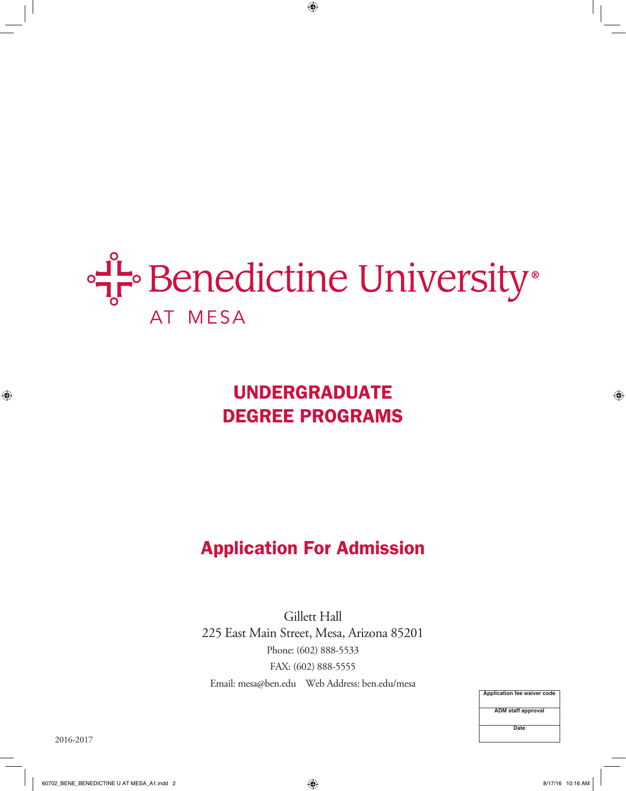

# UNDERGRADUATE DEGREE PROGRAMS

## Application For Admission

Gillett Hall 225 East Main Street, Mesa, Arizona 85201 Phone: (602) 888-5533 FAX: (602) 888-5555 Email: mesa@ben.edu Web Address: ben.edu/mesa

> **Application fee waiver code ADM staff approval Date**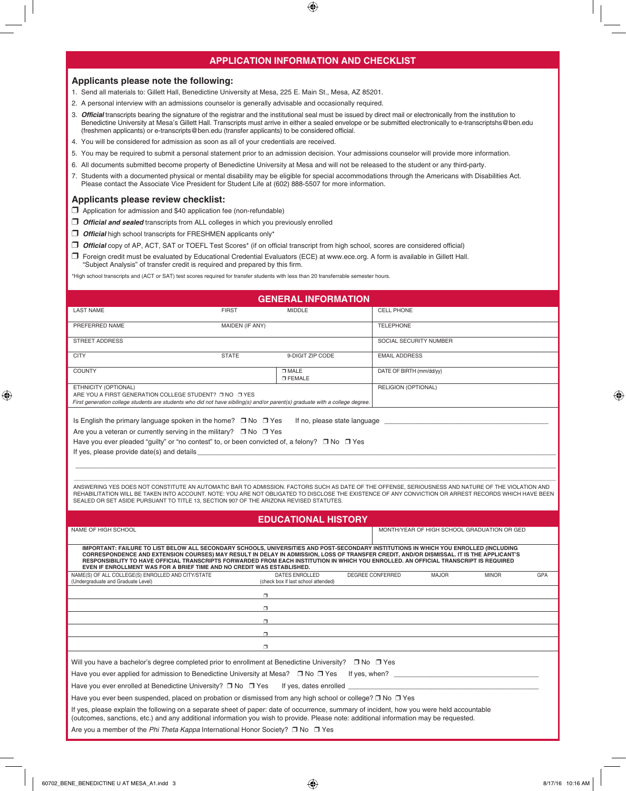## **APPLICATION INFORMATION AND CHECKLIST**

### **Applicants please note the following:**

- 1. Send all materials to: Gillett Hall, Benedictine University at Mesa, 225 E. Main St., Mesa, AZ 85201.
- 2. A personal interview with an admissions counselor is generally advisable and occasionally required.
- 3. *Official* transcripts bearing the signature of the registrar and the institutional seal must be issued by direct mail or electronically from the institution to Benedictine University at Mesa's Gillett Hall. Transcripts must arrive in either a sealed envelope or be submitted electronically to e-transcriptshs@ben.edu (freshmen applicants) or e-transcripts@ben.edu (transfer applicants) to be considered official.
- 4. You will be considered for admission as soon as all of your credentials are received.
- 5. You may be required to submit a personal statement prior to an admission decision. Your admissions counselor will provide more information.
- 6. All documents submitted become property of Benedictine University at Mesa and will not be released to the student or any third-party.
- 7. Students with a documented physical or mental disability may be eligible for special accommodations through the Americans with Disabilities Act. Please contact the Associate Vice President for Student Life at (602) 888-5507 for more information.

#### **Applicants please review checklist:**

- $\Box$  Application for admission and \$40 application fee (non-refundable)
- *Official and sealed* transcripts from ALL colleges in which you previously enrolled
- *Official* high school transcripts for FRESHMEN applicants only\*
- r *Official* copy of AP, ACT, SAT or TOEFL Test Scores\* (if on official transcript from high school, scores are considered official)
- r Foreign credit must be evaluated by Educational Credential Evaluators (ECE) at www.ece.org. A form is available in Gillett Hall. "Subject Analysis" of transfer credit is required and prepared by this firm.

\*High school transcripts and (ACT or SAT) test scores required for transfer students with less than 20 transferrable semester hours.

|                                                                                                                                                                                                                                                                                                                                                                                                                                                                                                                                                                                  |                 | <b>GENERAL INFORMATION</b>                                   |                          |                                             |              |     |
|----------------------------------------------------------------------------------------------------------------------------------------------------------------------------------------------------------------------------------------------------------------------------------------------------------------------------------------------------------------------------------------------------------------------------------------------------------------------------------------------------------------------------------------------------------------------------------|-----------------|--------------------------------------------------------------|--------------------------|---------------------------------------------|--------------|-----|
| <b>LAST NAME</b>                                                                                                                                                                                                                                                                                                                                                                                                                                                                                                                                                                 | <b>FIRST</b>    | <b>MIDDLE</b>                                                | <b>CELL PHONE</b>        |                                             |              |     |
| PREFERRED NAME                                                                                                                                                                                                                                                                                                                                                                                                                                                                                                                                                                   | MAIDEN (IF ANY) |                                                              | <b>TELEPHONE</b>         |                                             |              |     |
| <b>STREET ADDRESS</b>                                                                                                                                                                                                                                                                                                                                                                                                                                                                                                                                                            |                 |                                                              |                          | SOCIAL SECURITY NUMBER                      |              |     |
| <b>CITY</b>                                                                                                                                                                                                                                                                                                                                                                                                                                                                                                                                                                      | <b>STATE</b>    | 9-DIGIT ZIP CODE                                             | <b>EMAIL ADDRESS</b>     |                                             |              |     |
| <b>COUNTY</b>                                                                                                                                                                                                                                                                                                                                                                                                                                                                                                                                                                    |                 | $\square$ MALE<br><b>O FEMALE</b>                            | DATE OF BIRTH (mm/dd/yy) |                                             |              |     |
| ETHNICITY (OPTIONAL)<br>ARE YOU A FIRST GENERATION COLLEGE STUDENT? ONO OYES<br>First generation college students are students who did not have sibiling(s) and/or parent(s) graduate with a college degree.                                                                                                                                                                                                                                                                                                                                                                     |                 |                                                              | RELIGION (OPTIONAL)      |                                             |              |     |
| Is English the primary language spoken in the home? $\Box$ No $\Box$ Yes<br>Are you a veteran or currently serving in the military? $\Box$ No $\Box$ Yes<br>Have you ever pleaded "quilty" or "no contest" to, or been convicted of, a felony? $\Box$ No $\Box$ Yes<br>ANSWERING YES DOES NOT CONSTITUTE AN AUTOMATIC BAR TO ADMISSION. FACTORS SUCH AS DATE OF THE OFFENSE, SERIOUSNESS AND NATURE OF THE VIOLATION AND<br>REHABILITATION WILL BE TAKEN INTO ACCOUNT. NOTE: YOU ARE NOT OBLIGATED TO DISCLOSE THE EXISTENCE OF ANY CONVICTION OR ARREST RECORDS WHICH HAVE BEEN |                 | If no, please state language                                 |                          |                                             |              |     |
| SEALED OR SET ASIDE PURSUANT TO TITLE 13, SECTION 907 OF THE ARIZONA REVISED STATUTES.                                                                                                                                                                                                                                                                                                                                                                                                                                                                                           |                 | <b>EDUCATIONAL HISTORY</b>                                   |                          |                                             |              |     |
| NAME OF HIGH SCHOOL                                                                                                                                                                                                                                                                                                                                                                                                                                                                                                                                                              |                 |                                                              |                          | MONTH/YEAR OF HIGH SCHOOL GRADUATION OR GED |              |     |
| IMPORTANT: FAILURE TO LIST BELOW ALL SECONDARY SCHOOLS, UNIVERSITIES AND POST-SECONDARY INSTITUTIONS IN WHICH YOU ENROLLED (INCLUDING<br>CORRESPONDENCE AND EXTENSION COURSES) MAY RESULT IN DELAY IN ADMISSION, LOSS OF TRANSFER CREDIT, AND/OR DISMISSAL. IT IS THE APPLICANT'S<br>RESPONSIBILITY TO HAVE OFFICIAL TRANSCRIPTS FORWARDED FROM EACH INSTITUTION IN WHICH YOU ENROLLED. AN OFFICIAL TRANSCRIPT IS REQUIRED<br>EVEN IF ENROLLMENT WAS FOR A BRIEF TIME AND NO CREDIT WAS ESTABLISHED.                                                                             |                 |                                                              |                          |                                             |              |     |
| NAME(S) OF ALL COLLEGE(S) ENROLLED AND CITY/STATE<br>(Undergraduate and Graduate Level)                                                                                                                                                                                                                                                                                                                                                                                                                                                                                          |                 | <b>DATES ENROLLED</b><br>(check box if last school attended) | DEGREE CONFERRED         | <b>MAJOR</b>                                | <b>MINOR</b> | GPA |
|                                                                                                                                                                                                                                                                                                                                                                                                                                                                                                                                                                                  | $\Box$          |                                                              |                          |                                             |              |     |
|                                                                                                                                                                                                                                                                                                                                                                                                                                                                                                                                                                                  | $\Box$          |                                                              |                          |                                             |              |     |
|                                                                                                                                                                                                                                                                                                                                                                                                                                                                                                                                                                                  | $\Box$          |                                                              |                          |                                             |              |     |
|                                                                                                                                                                                                                                                                                                                                                                                                                                                                                                                                                                                  | $\Box$          |                                                              |                          |                                             |              |     |
|                                                                                                                                                                                                                                                                                                                                                                                                                                                                                                                                                                                  | $\Box$          |                                                              |                          |                                             |              |     |
| Will you have a bachelor's degree completed prior to enrollment at Benedictine University? □ No □ Yes<br>Have you ever applied for admission to Benedictine University at Mesa? $\Box$ No $\Box$ Yes<br>Have you ever enrolled at Benedictine University? $\Box$ No $\Box$ Yes<br>Have you ever been suspended, placed on probation or dismissed from any high school or college? $\Box$ No $\Box$ Yes<br>If yes, please explain the following on a separate sheet of paper: date of occurrence, summary of incident, how you were held accountable                              |                 | If yes, dates enrolled __                                    |                          |                                             |              |     |
| (outcomes, sanctions, etc.) and any additional information you wish to provide. Please note: additional information may be requested.<br>Are you a member of the Phi Theta Kappa International Honor Society? $\Box$ No $\Box$ Yes                                                                                                                                                                                                                                                                                                                                               |                 |                                                              |                          |                                             |              |     |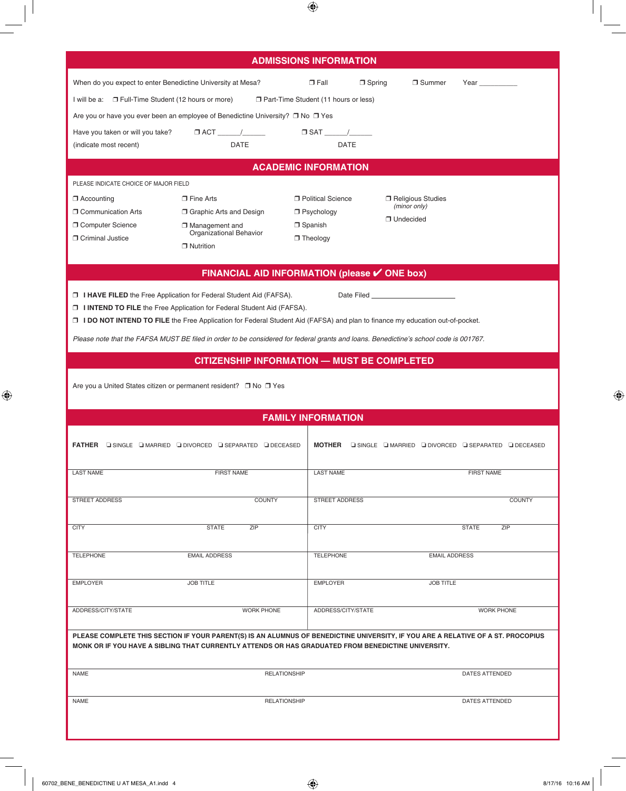|                                                             |                                                                                                                                                                                                                        | <b>ADMISSIONS INFORMATION</b>          |                             |                                                             |
|-------------------------------------------------------------|------------------------------------------------------------------------------------------------------------------------------------------------------------------------------------------------------------------------|----------------------------------------|-----------------------------|-------------------------------------------------------------|
| When do you expect to enter Benedictine University at Mesa? |                                                                                                                                                                                                                        | $\Box$ Fall<br>$\Box$ Spring           | □ Summer                    | Year ___________                                            |
| I will be a: □ Full-Time Student (12 hours or more)         |                                                                                                                                                                                                                        | □ Part-Time Student (11 hours or less) |                             |                                                             |
|                                                             | Are you or have you ever been an employee of Benedictine University? $\Box$ No $\Box$ Yes                                                                                                                              |                                        |                             |                                                             |
|                                                             |                                                                                                                                                                                                                        |                                        |                             |                                                             |
| (indicate most recent)                                      | <b>DATE</b>                                                                                                                                                                                                            | <b>DATE</b>                            |                             |                                                             |
|                                                             |                                                                                                                                                                                                                        | <b>ACADEMIC INFORMATION</b>            |                             |                                                             |
| PLEASE INDICATE CHOICE OF MAJOR FIELD                       |                                                                                                                                                                                                                        |                                        |                             |                                                             |
| $\Box$ Accounting                                           | $\Box$ Fine Arts                                                                                                                                                                                                       | <b>D</b> Political Science             | □ Religious Studies         |                                                             |
| <b>D</b> Communication Arts                                 | <b>J</b> Graphic Arts and Design                                                                                                                                                                                       | $\Box$ Psychology                      | (minor only)<br>□ Undecided |                                                             |
| <b>D</b> Computer Science                                   | $\Box$ Management and<br>Organizational Behavior                                                                                                                                                                       | □ Spanish                              |                             |                                                             |
| <b>D</b> Criminal Justice                                   | $\Box$ Nutrition                                                                                                                                                                                                       | $\Box$ Theology                        |                             |                                                             |
|                                                             |                                                                                                                                                                                                                        |                                        |                             |                                                             |
|                                                             | FINANCIAL AID INFORMATION (please ✔ ONE box)                                                                                                                                                                           |                                        |                             |                                                             |
|                                                             | <b>J I HAVE FILED</b> the Free Application for Federal Student Aid (FAFSA).                                                                                                                                            |                                        |                             |                                                             |
|                                                             | <b>I INTEND TO FILE</b> the Free Application for Federal Student Aid (FAFSA).<br>□ <b>I DO NOT INTEND TO FILE</b> the Free Application for Federal Student Aid (FAFSA) and plan to finance my education out-of-pocket. |                                        |                             |                                                             |
|                                                             |                                                                                                                                                                                                                        |                                        |                             |                                                             |
|                                                             | Please note that the FAFSA MUST BE filed in order to be considered for federal grants and loans. Benedictine's school code is 001767.                                                                                  |                                        |                             |                                                             |
|                                                             | <b>CITIZENSHIP INFORMATION - MUST BE COMPLETED</b>                                                                                                                                                                     |                                        |                             |                                                             |
|                                                             | Are you a United States citizen or permanent resident? □ No □ Yes                                                                                                                                                      |                                        |                             |                                                             |
|                                                             |                                                                                                                                                                                                                        |                                        |                             |                                                             |
|                                                             |                                                                                                                                                                                                                        | <b>FAMILY INFORMATION</b>              |                             |                                                             |
|                                                             |                                                                                                                                                                                                                        |                                        |                             |                                                             |
|                                                             | FATHER ISINGLE IMARRIED INVORCED ISEPARATED IDECEASED                                                                                                                                                                  |                                        |                             | MOTHER GISINGLE GIMARRIED GIDIVORCED GISEPARATED GIDECEASED |
| <b>LAST NAME</b>                                            | <b>FIRST NAME</b>                                                                                                                                                                                                      | <b>LAST NAME</b>                       |                             | <b>FIRST NAME</b>                                           |
|                                                             |                                                                                                                                                                                                                        |                                        |                             |                                                             |
| <b>STREET ADDRESS</b>                                       | <b>COUNTY</b>                                                                                                                                                                                                          | <b>STREET ADDRESS</b>                  |                             | <b>COUNTY</b>                                               |
|                                                             |                                                                                                                                                                                                                        |                                        |                             |                                                             |
| <b>CITY</b>                                                 | ZIP<br><b>STATE</b>                                                                                                                                                                                                    | <b>CITY</b>                            |                             | ZIP<br><b>STATE</b>                                         |
| <b>TELEPHONE</b>                                            | <b>EMAIL ADDRESS</b>                                                                                                                                                                                                   | <b>TELEPHONE</b>                       | <b>EMAIL ADDRESS</b>        |                                                             |
|                                                             |                                                                                                                                                                                                                        |                                        |                             |                                                             |
| <b>EMPLOYER</b>                                             | <b>JOB TITLE</b>                                                                                                                                                                                                       | <b>EMPLOYER</b>                        | <b>JOB TITLE</b>            |                                                             |
|                                                             |                                                                                                                                                                                                                        |                                        |                             |                                                             |
| ADDRESS/CITY/STATE                                          | <b>WORK PHONE</b>                                                                                                                                                                                                      | ADDRESS/CITY/STATE                     |                             | <b>WORK PHONE</b>                                           |
|                                                             | PLEASE COMPLETE THIS SECTION IF YOUR PARENT(S) IS AN ALUMNUS OF BENEDICTINE UNIVERSITY, IF YOU ARE A RELATIVE OF A ST. PROCOPIUS                                                                                       |                                        |                             |                                                             |
|                                                             | MONK OR IF YOU HAVE A SIBLING THAT CURRENTLY ATTENDS OR HAS GRADUATED FROM BENEDICTINE UNIVERSITY.                                                                                                                     |                                        |                             |                                                             |
| <b>NAME</b>                                                 | <b>RELATIONSHIP</b>                                                                                                                                                                                                    |                                        |                             | DATES ATTENDED                                              |
|                                                             |                                                                                                                                                                                                                        |                                        |                             |                                                             |
| <b>NAME</b>                                                 | <b>RELATIONSHIP</b>                                                                                                                                                                                                    |                                        |                             | DATES ATTENDED                                              |
|                                                             |                                                                                                                                                                                                                        |                                        |                             |                                                             |
|                                                             |                                                                                                                                                                                                                        |                                        |                             |                                                             |